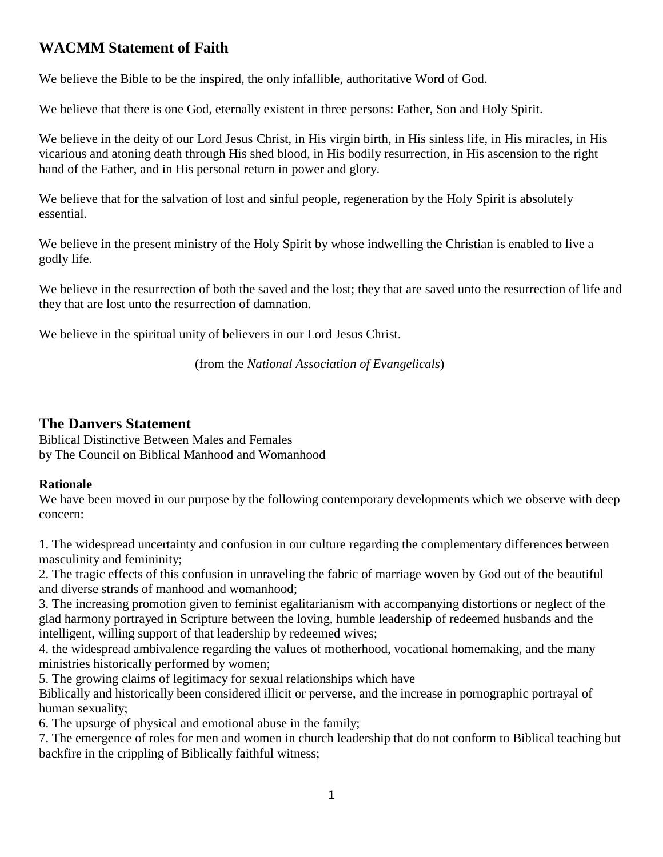# **WACMM Statement of Faith**

We believe the Bible to be the inspired, the only infallible, authoritative Word of God.

We believe that there is one God, eternally existent in three persons: Father, Son and Holy Spirit.

We believe in the deity of our Lord Jesus Christ, in His virgin birth, in His sinless life, in His miracles, in His vicarious and atoning death through His shed blood, in His bodily resurrection, in His ascension to the right hand of the Father, and in His personal return in power and glory.

We believe that for the salvation of lost and sinful people, regeneration by the Holy Spirit is absolutely essential.

We believe in the present ministry of the Holy Spirit by whose indwelling the Christian is enabled to live a godly life.

We believe in the resurrection of both the saved and the lost; they that are saved unto the resurrection of life and they that are lost unto the resurrection of damnation.

We believe in the spiritual unity of believers in our Lord Jesus Christ.

(from the *National Association of Evangelicals*)

# **The Danvers Statement**

Biblical Distinctive Between Males and Females by The Council on Biblical Manhood and Womanhood

#### **Rationale**

We have been moved in our purpose by the following contemporary developments which we observe with deep concern:

1. The widespread uncertainty and confusion in our culture regarding the complementary differences between masculinity and femininity;

2. The tragic effects of this confusion in unraveling the fabric of marriage woven by God out of the beautiful and diverse strands of manhood and womanhood;

3. The increasing promotion given to feminist egalitarianism with accompanying distortions or neglect of the glad harmony portrayed in Scripture between the loving, humble leadership of redeemed husbands and the intelligent, willing support of that leadership by redeemed wives;

4. the widespread ambivalence regarding the values of motherhood, vocational homemaking, and the many ministries historically performed by women;

5. The growing claims of legitimacy for sexual relationships which have

Biblically and historically been considered illicit or perverse, and the increase in pornographic portrayal of human sexuality;

6. The upsurge of physical and emotional abuse in the family;

7. The emergence of roles for men and women in church leadership that do not conform to Biblical teaching but backfire in the crippling of Biblically faithful witness;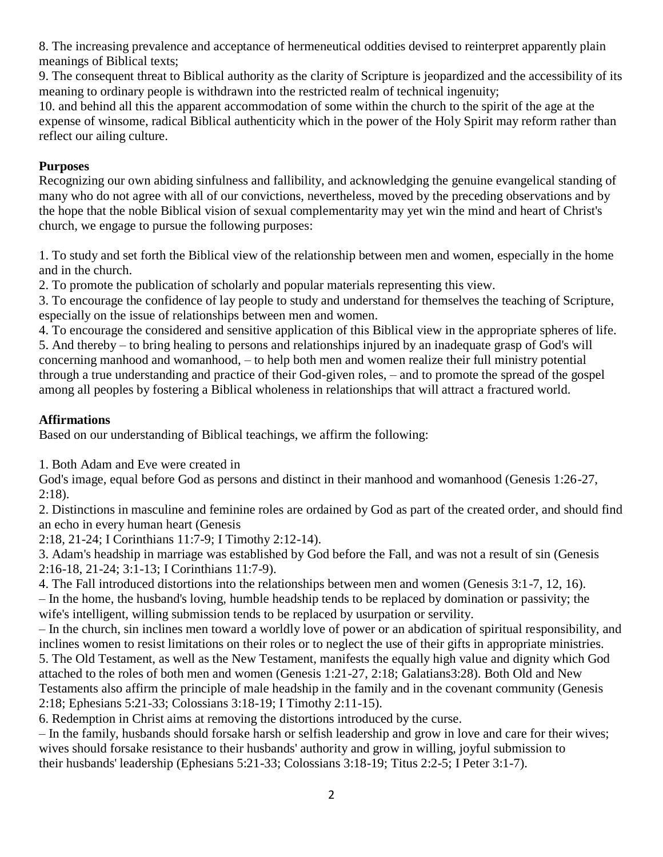8. The increasing prevalence and acceptance of hermeneutical oddities devised to reinterpret apparently plain meanings of Biblical texts;

9. The consequent threat to Biblical authority as the clarity of Scripture is jeopardized and the accessibility of its meaning to ordinary people is withdrawn into the restricted realm of technical ingenuity;

10. and behind all this the apparent accommodation of some within the church to the spirit of the age at the expense of winsome, radical Biblical authenticity which in the power of the Holy Spirit may reform rather than reflect our ailing culture.

### **Purposes**

Recognizing our own abiding sinfulness and fallibility, and acknowledging the genuine evangelical standing of many who do not agree with all of our convictions, nevertheless, moved by the preceding observations and by the hope that the noble Biblical vision of sexual complementarity may yet win the mind and heart of Christ's church, we engage to pursue the following purposes:

1. To study and set forth the Biblical view of the relationship between men and women, especially in the home and in the church.

2. To promote the publication of scholarly and popular materials representing this view.

3. To encourage the confidence of lay people to study and understand for themselves the teaching of Scripture, especially on the issue of relationships between men and women.

4. To encourage the considered and sensitive application of this Biblical view in the appropriate spheres of life. 5. And thereby – to bring healing to persons and relationships injured by an inadequate grasp of God's will concerning manhood and womanhood, – to help both men and women realize their full ministry potential through a true understanding and practice of their God-given roles, – and to promote the spread of the gospel among all peoples by fostering a Biblical wholeness in relationships that will attract a fractured world.

# **Affirmations**

Based on our understanding of Biblical teachings, we affirm the following:

1. Both Adam and Eve were created in

God's image, equal before God as persons and distinct in their manhood and womanhood (Genesis 1:26-27, 2:18).

2. Distinctions in masculine and feminine roles are ordained by God as part of the created order, and should find an echo in every human heart (Genesis

2:18, 21-24; I Corinthians 11:7-9; I Timothy 2:12-14).

3. Adam's headship in marriage was established by God before the Fall, and was not a result of sin (Genesis 2:16-18, 21-24; 3:1-13; I Corinthians 11:7-9).

4. The Fall introduced distortions into the relationships between men and women (Genesis 3:1-7, 12, 16). – In the home, the husband's loving, humble headship tends to be replaced by domination or passivity; the wife's intelligent, willing submission tends to be replaced by usurpation or servility.

– In the church, sin inclines men toward a worldly love of power or an abdication of spiritual responsibility, and inclines women to resist limitations on their roles or to neglect the use of their gifts in appropriate ministries. 5. The Old Testament, as well as the New Testament, manifests the equally high value and dignity which God attached to the roles of both men and women (Genesis 1:21-27, 2:18; Galatians3:28). Both Old and New Testaments also affirm the principle of male headship in the family and in the covenant community (Genesis 2:18; Ephesians 5:21-33; Colossians 3:18-19; I Timothy 2:11-15).

6. Redemption in Christ aims at removing the distortions introduced by the curse.

– In the family, husbands should forsake harsh or selfish leadership and grow in love and care for their wives; wives should forsake resistance to their husbands' authority and grow in willing, joyful submission to their husbands' leadership (Ephesians 5:21-33; Colossians 3:18-19; Titus 2:2-5; I Peter 3:1-7).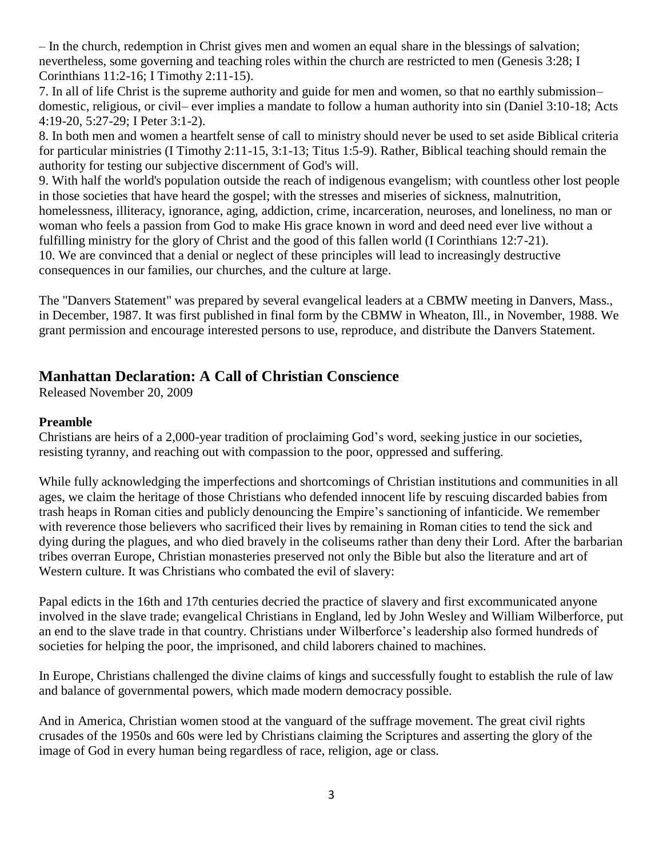– In the church, redemption in Christ gives men and women an equal share in the blessings of salvation; nevertheless, some governing and teaching roles within the church are restricted to men (Genesis 3:28; I Corinthians 11:2-16; I Timothy 2:11-15).

7. In all of life Christ is the supreme authority and guide for men and women, so that no earthly submission– domestic, religious, or civil– ever implies a mandate to follow a human authority into sin (Daniel 3:10-18; Acts 4:19-20, 5:27-29; I Peter 3:1-2).

8. In both men and women a heartfelt sense of call to ministry should never be used to set aside Biblical criteria for particular ministries (I Timothy 2:11-15, 3:1-13; Titus 1:5-9). Rather, Biblical teaching should remain the authority for testing our subjective discernment of God's will.

9. With half the world's population outside the reach of indigenous evangelism; with countless other lost people in those societies that have heard the gospel; with the stresses and miseries of sickness, malnutrition, homelessness, illiteracy, ignorance, aging, addiction, crime, incarceration, neuroses, and loneliness, no man or woman who feels a passion from God to make His grace known in word and deed need ever live without a fulfilling ministry for the glory of Christ and the good of this fallen world (I Corinthians 12:7-21).

10. We are convinced that a denial or neglect of these principles will lead to increasingly destructive consequences in our families, our churches, and the culture at large.

The "Danvers Statement" was prepared by several evangelical leaders at a CBMW meeting in Danvers, Mass., in December, 1987. It was first published in final form by the CBMW in Wheaton, Ill., in November, 1988. We grant permission and encourage interested persons to use, reproduce, and distribute the Danvers Statement.

# **Manhattan Declaration: A Call of Christian Conscience**

Released November 20, 2009

#### **Preamble**

Christians are heirs of a 2,000-year tradition of proclaiming God's word, seeking justice in our societies, resisting tyranny, and reaching out with compassion to the poor, oppressed and suffering.

While fully acknowledging the imperfections and shortcomings of Christian institutions and communities in all ages, we claim the heritage of those Christians who defended innocent life by rescuing discarded babies from trash heaps in Roman cities and publicly denouncing the Empire's sanctioning of infanticide. We remember with reverence those believers who sacrificed their lives by remaining in Roman cities to tend the sick and dying during the plagues, and who died bravely in the coliseums rather than deny their Lord. After the barbarian tribes overran Europe, Christian monasteries preserved not only the Bible but also the literature and art of Western culture. It was Christians who combated the evil of slavery:

Papal edicts in the 16th and 17th centuries decried the practice of slavery and first excommunicated anyone involved in the slave trade; evangelical Christians in England, led by John Wesley and William Wilberforce, put an end to the slave trade in that country. Christians under Wilberforce's leadership also formed hundreds of societies for helping the poor, the imprisoned, and child laborers chained to machines.

In Europe, Christians challenged the divine claims of kings and successfully fought to establish the rule of law and balance of governmental powers, which made modern democracy possible.

And in America, Christian women stood at the vanguard of the suffrage movement. The great civil rights crusades of the 1950s and 60s were led by Christians claiming the Scriptures and asserting the glory of the image of God in every human being regardless of race, religion, age or class.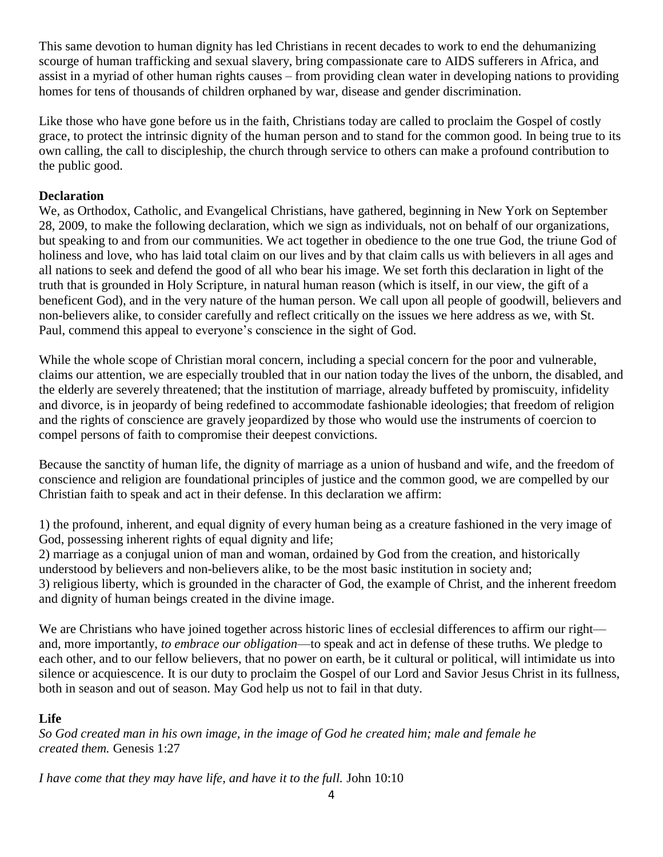This same devotion to human dignity has led Christians in recent decades to work to end the dehumanizing scourge of human trafficking and sexual slavery, bring compassionate care to AIDS sufferers in Africa, and assist in a myriad of other human rights causes – from providing clean water in developing nations to providing homes for tens of thousands of children orphaned by war, disease and gender discrimination.

Like those who have gone before us in the faith, Christians today are called to proclaim the Gospel of costly grace, to protect the intrinsic dignity of the human person and to stand for the common good. In being true to its own calling, the call to discipleship, the church through service to others can make a profound contribution to the public good.

#### **Declaration**

We, as Orthodox, Catholic, and Evangelical Christians, have gathered, beginning in New York on September 28, 2009, to make the following declaration, which we sign as individuals, not on behalf of our organizations, but speaking to and from our communities. We act together in obedience to the one true God, the triune God of holiness and love, who has laid total claim on our lives and by that claim calls us with believers in all ages and all nations to seek and defend the good of all who bear his image. We set forth this declaration in light of the truth that is grounded in Holy Scripture, in natural human reason (which is itself, in our view, the gift of a beneficent God), and in the very nature of the human person. We call upon all people of goodwill, believers and non-believers alike, to consider carefully and reflect critically on the issues we here address as we, with St. Paul, commend this appeal to everyone's conscience in the sight of God.

While the whole scope of Christian moral concern, including a special concern for the poor and vulnerable, claims our attention, we are especially troubled that in our nation today the lives of the unborn, the disabled, and the elderly are severely threatened; that the institution of marriage, already buffeted by promiscuity, infidelity and divorce, is in jeopardy of being redefined to accommodate fashionable ideologies; that freedom of religion and the rights of conscience are gravely jeopardized by those who would use the instruments of coercion to compel persons of faith to compromise their deepest convictions.

Because the sanctity of human life, the dignity of marriage as a union of husband and wife, and the freedom of conscience and religion are foundational principles of justice and the common good, we are compelled by our Christian faith to speak and act in their defense. In this declaration we affirm:

1) the profound, inherent, and equal dignity of every human being as a creature fashioned in the very image of God, possessing inherent rights of equal dignity and life;

2) marriage as a conjugal union of man and woman, ordained by God from the creation, and historically understood by believers and non-believers alike, to be the most basic institution in society and; 3) religious liberty, which is grounded in the character of God, the example of Christ, and the inherent freedom and dignity of human beings created in the divine image.

We are Christians who have joined together across historic lines of ecclesial differences to affirm our right and, more importantly, *to embrace our obligation*—to speak and act in defense of these truths. We pledge to each other, and to our fellow believers, that no power on earth, be it cultural or political, will intimidate us into silence or acquiescence. It is our duty to proclaim the Gospel of our Lord and Savior Jesus Christ in its fullness, both in season and out of season. May God help us not to fail in that duty.

#### **Life**

*So God created man in his own image, in the image of God he created him; male and female he created them.* Genesis 1:27

*I have come that they may have life, and have it to the full. John 10:10*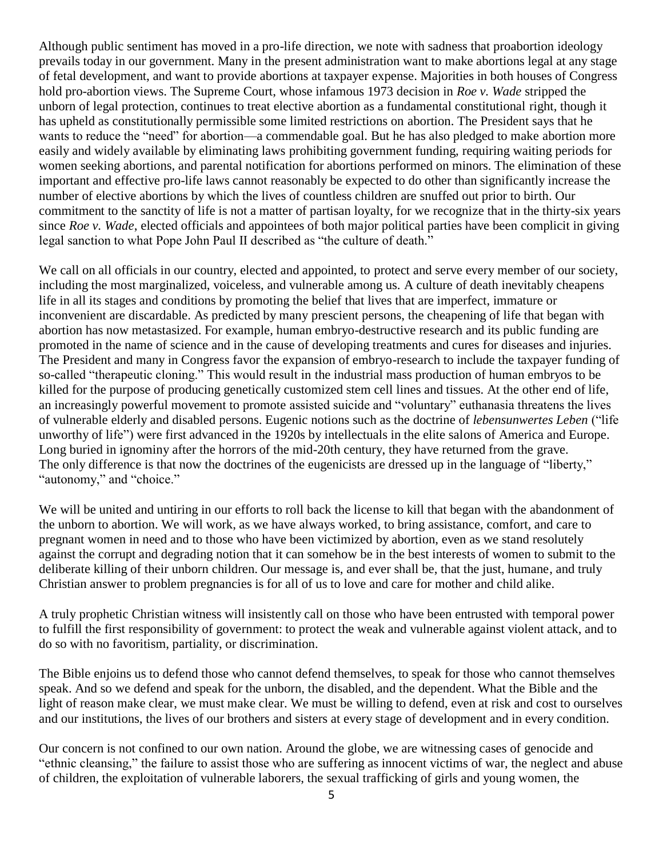Although public sentiment has moved in a pro-life direction, we note with sadness that proabortion ideology prevails today in our government. Many in the present administration want to make abortions legal at any stage of fetal development, and want to provide abortions at taxpayer expense. Majorities in both houses of Congress hold pro-abortion views. The Supreme Court, whose infamous 1973 decision in *Roe v. Wade* stripped the unborn of legal protection, continues to treat elective abortion as a fundamental constitutional right, though it has upheld as constitutionally permissible some limited restrictions on abortion. The President says that he wants to reduce the "need" for abortion—a commendable goal. But he has also pledged to make abortion more easily and widely available by eliminating laws prohibiting government funding, requiring waiting periods for women seeking abortions, and parental notification for abortions performed on minors. The elimination of these important and effective pro-life laws cannot reasonably be expected to do other than significantly increase the number of elective abortions by which the lives of countless children are snuffed out prior to birth. Our commitment to the sanctity of life is not a matter of partisan loyalty, for we recognize that in the thirty-six years since *Roe v. Wade*, elected officials and appointees of both major political parties have been complicit in giving legal sanction to what Pope John Paul II described as "the culture of death."

We call on all officials in our country, elected and appointed, to protect and serve every member of our society, including the most marginalized, voiceless, and vulnerable among us. A culture of death inevitably cheapens life in all its stages and conditions by promoting the belief that lives that are imperfect, immature or inconvenient are discardable. As predicted by many prescient persons, the cheapening of life that began with abortion has now metastasized. For example, human embryo-destructive research and its public funding are promoted in the name of science and in the cause of developing treatments and cures for diseases and injuries. The President and many in Congress favor the expansion of embryo-research to include the taxpayer funding of so-called "therapeutic cloning." This would result in the industrial mass production of human embryos to be killed for the purpose of producing genetically customized stem cell lines and tissues. At the other end of life, an increasingly powerful movement to promote assisted suicide and "voluntary" euthanasia threatens the lives of vulnerable elderly and disabled persons. Eugenic notions such as the doctrine of *lebensunwertes Leben* ("life unworthy of life") were first advanced in the 1920s by intellectuals in the elite salons of America and Europe. Long buried in ignominy after the horrors of the mid-20th century, they have returned from the grave. The only difference is that now the doctrines of the eugenicists are dressed up in the language of "liberty," "autonomy," and "choice."

We will be united and untiring in our efforts to roll back the license to kill that began with the abandonment of the unborn to abortion. We will work, as we have always worked, to bring assistance, comfort, and care to pregnant women in need and to those who have been victimized by abortion, even as we stand resolutely against the corrupt and degrading notion that it can somehow be in the best interests of women to submit to the deliberate killing of their unborn children. Our message is, and ever shall be, that the just, humane, and truly Christian answer to problem pregnancies is for all of us to love and care for mother and child alike.

A truly prophetic Christian witness will insistently call on those who have been entrusted with temporal power to fulfill the first responsibility of government: to protect the weak and vulnerable against violent attack, and to do so with no favoritism, partiality, or discrimination.

The Bible enjoins us to defend those who cannot defend themselves, to speak for those who cannot themselves speak. And so we defend and speak for the unborn, the disabled, and the dependent. What the Bible and the light of reason make clear, we must make clear. We must be willing to defend, even at risk and cost to ourselves and our institutions, the lives of our brothers and sisters at every stage of development and in every condition.

Our concern is not confined to our own nation. Around the globe, we are witnessing cases of genocide and "ethnic cleansing," the failure to assist those who are suffering as innocent victims of war, the neglect and abuse of children, the exploitation of vulnerable laborers, the sexual trafficking of girls and young women, the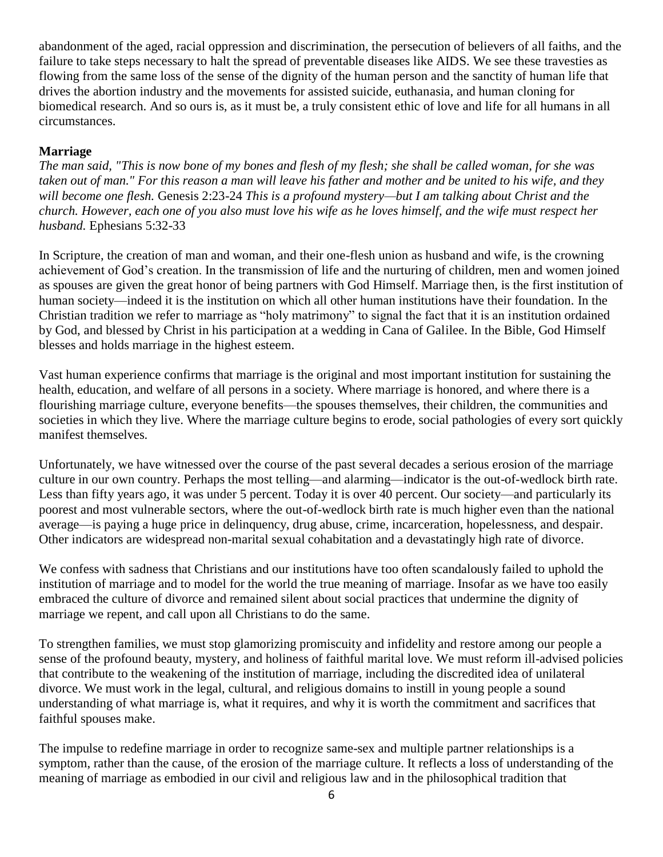abandonment of the aged, racial oppression and discrimination, the persecution of believers of all faiths, and the failure to take steps necessary to halt the spread of preventable diseases like AIDS. We see these travesties as flowing from the same loss of the sense of the dignity of the human person and the sanctity of human life that drives the abortion industry and the movements for assisted suicide, euthanasia, and human cloning for biomedical research. And so ours is, as it must be, a truly consistent ethic of love and life for all humans in all circumstances.

#### **Marriage**

*The man said, "This is now bone of my bones and flesh of my flesh; she shall be called woman, for she was taken out of man." For this reason a man will leave his father and mother and be united to his wife, and they will become one flesh.* Genesis 2:23-24 *This is a profound mystery—but I am talking about Christ and the church. However, each one of you also must love his wife as he loves himself, and the wife must respect her husband.* Ephesians 5:32-33

In Scripture, the creation of man and woman, and their one-flesh union as husband and wife, is the crowning achievement of God's creation. In the transmission of life and the nurturing of children, men and women joined as spouses are given the great honor of being partners with God Himself. Marriage then, is the first institution of human society—indeed it is the institution on which all other human institutions have their foundation. In the Christian tradition we refer to marriage as "holy matrimony" to signal the fact that it is an institution ordained by God, and blessed by Christ in his participation at a wedding in Cana of Galilee. In the Bible, God Himself blesses and holds marriage in the highest esteem.

Vast human experience confirms that marriage is the original and most important institution for sustaining the health, education, and welfare of all persons in a society. Where marriage is honored, and where there is a flourishing marriage culture, everyone benefits—the spouses themselves, their children, the communities and societies in which they live. Where the marriage culture begins to erode, social pathologies of every sort quickly manifest themselves.

Unfortunately, we have witnessed over the course of the past several decades a serious erosion of the marriage culture in our own country. Perhaps the most telling—and alarming—indicator is the out-of-wedlock birth rate. Less than fifty years ago, it was under 5 percent. Today it is over 40 percent. Our society—and particularly its poorest and most vulnerable sectors, where the out-of-wedlock birth rate is much higher even than the national average—is paying a huge price in delinquency, drug abuse, crime, incarceration, hopelessness, and despair. Other indicators are widespread non-marital sexual cohabitation and a devastatingly high rate of divorce.

We confess with sadness that Christians and our institutions have too often scandalously failed to uphold the institution of marriage and to model for the world the true meaning of marriage. Insofar as we have too easily embraced the culture of divorce and remained silent about social practices that undermine the dignity of marriage we repent, and call upon all Christians to do the same.

To strengthen families, we must stop glamorizing promiscuity and infidelity and restore among our people a sense of the profound beauty, mystery, and holiness of faithful marital love. We must reform ill-advised policies that contribute to the weakening of the institution of marriage, including the discredited idea of unilateral divorce. We must work in the legal, cultural, and religious domains to instill in young people a sound understanding of what marriage is, what it requires, and why it is worth the commitment and sacrifices that faithful spouses make.

The impulse to redefine marriage in order to recognize same-sex and multiple partner relationships is a symptom, rather than the cause, of the erosion of the marriage culture. It reflects a loss of understanding of the meaning of marriage as embodied in our civil and religious law and in the philosophical tradition that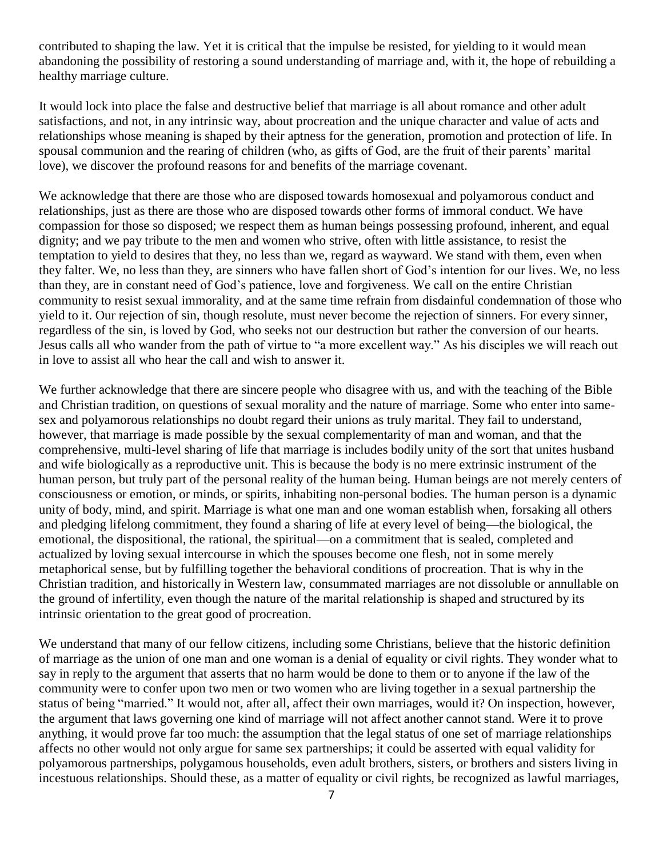contributed to shaping the law. Yet it is critical that the impulse be resisted, for yielding to it would mean abandoning the possibility of restoring a sound understanding of marriage and, with it, the hope of rebuilding a healthy marriage culture.

It would lock into place the false and destructive belief that marriage is all about romance and other adult satisfactions, and not, in any intrinsic way, about procreation and the unique character and value of acts and relationships whose meaning is shaped by their aptness for the generation, promotion and protection of life. In spousal communion and the rearing of children (who, as gifts of God, are the fruit of their parents' marital love), we discover the profound reasons for and benefits of the marriage covenant.

We acknowledge that there are those who are disposed towards homosexual and polyamorous conduct and relationships, just as there are those who are disposed towards other forms of immoral conduct. We have compassion for those so disposed; we respect them as human beings possessing profound, inherent, and equal dignity; and we pay tribute to the men and women who strive, often with little assistance, to resist the temptation to yield to desires that they, no less than we, regard as wayward. We stand with them, even when they falter. We, no less than they, are sinners who have fallen short of God's intention for our lives. We, no less than they, are in constant need of God's patience, love and forgiveness. We call on the entire Christian community to resist sexual immorality, and at the same time refrain from disdainful condemnation of those who yield to it. Our rejection of sin, though resolute, must never become the rejection of sinners. For every sinner, regardless of the sin, is loved by God, who seeks not our destruction but rather the conversion of our hearts. Jesus calls all who wander from the path of virtue to "a more excellent way." As his disciples we will reach out in love to assist all who hear the call and wish to answer it.

We further acknowledge that there are sincere people who disagree with us, and with the teaching of the Bible and Christian tradition, on questions of sexual morality and the nature of marriage. Some who enter into samesex and polyamorous relationships no doubt regard their unions as truly marital. They fail to understand, however, that marriage is made possible by the sexual complementarity of man and woman, and that the comprehensive, multi-level sharing of life that marriage is includes bodily unity of the sort that unites husband and wife biologically as a reproductive unit. This is because the body is no mere extrinsic instrument of the human person, but truly part of the personal reality of the human being. Human beings are not merely centers of consciousness or emotion, or minds, or spirits, inhabiting non-personal bodies. The human person is a dynamic unity of body, mind, and spirit. Marriage is what one man and one woman establish when, forsaking all others and pledging lifelong commitment, they found a sharing of life at every level of being—the biological, the emotional, the dispositional, the rational, the spiritual—on a commitment that is sealed, completed and actualized by loving sexual intercourse in which the spouses become one flesh, not in some merely metaphorical sense, but by fulfilling together the behavioral conditions of procreation. That is why in the Christian tradition, and historically in Western law, consummated marriages are not dissoluble or annullable on the ground of infertility, even though the nature of the marital relationship is shaped and structured by its intrinsic orientation to the great good of procreation.

We understand that many of our fellow citizens, including some Christians, believe that the historic definition of marriage as the union of one man and one woman is a denial of equality or civil rights. They wonder what to say in reply to the argument that asserts that no harm would be done to them or to anyone if the law of the community were to confer upon two men or two women who are living together in a sexual partnership the status of being "married." It would not, after all, affect their own marriages, would it? On inspection, however, the argument that laws governing one kind of marriage will not affect another cannot stand. Were it to prove anything, it would prove far too much: the assumption that the legal status of one set of marriage relationships affects no other would not only argue for same sex partnerships; it could be asserted with equal validity for polyamorous partnerships, polygamous households, even adult brothers, sisters, or brothers and sisters living in incestuous relationships. Should these, as a matter of equality or civil rights, be recognized as lawful marriages,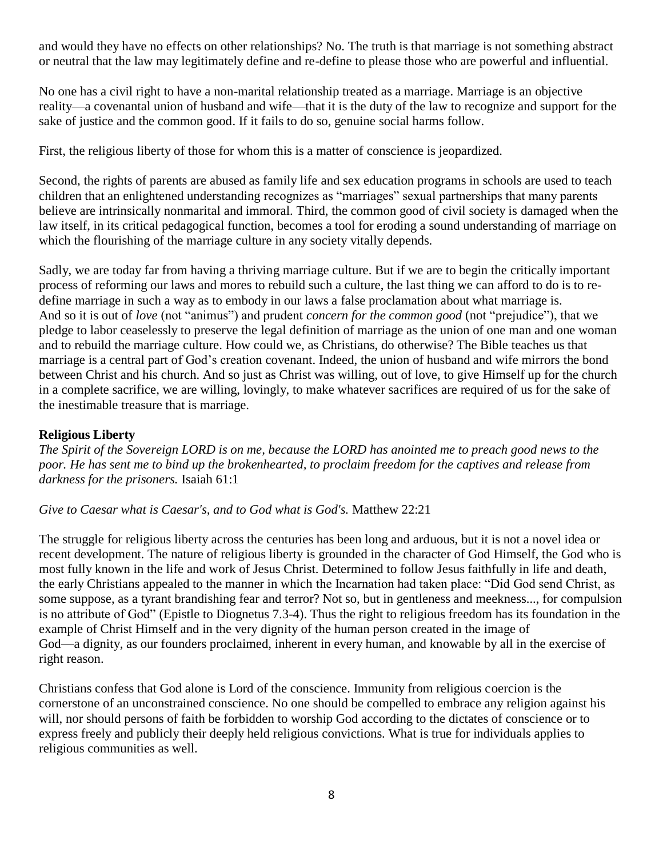and would they have no effects on other relationships? No. The truth is that marriage is not something abstract or neutral that the law may legitimately define and re-define to please those who are powerful and influential.

No one has a civil right to have a non-marital relationship treated as a marriage. Marriage is an objective reality—a covenantal union of husband and wife—that it is the duty of the law to recognize and support for the sake of justice and the common good. If it fails to do so, genuine social harms follow.

First, the religious liberty of those for whom this is a matter of conscience is jeopardized.

Second, the rights of parents are abused as family life and sex education programs in schools are used to teach children that an enlightened understanding recognizes as "marriages" sexual partnerships that many parents believe are intrinsically nonmarital and immoral. Third, the common good of civil society is damaged when the law itself, in its critical pedagogical function, becomes a tool for eroding a sound understanding of marriage on which the flourishing of the marriage culture in any society vitally depends.

Sadly, we are today far from having a thriving marriage culture. But if we are to begin the critically important process of reforming our laws and mores to rebuild such a culture, the last thing we can afford to do is to redefine marriage in such a way as to embody in our laws a false proclamation about what marriage is. And so it is out of *love* (not "animus") and prudent *concern for the common good* (not "prejudice"), that we pledge to labor ceaselessly to preserve the legal definition of marriage as the union of one man and one woman and to rebuild the marriage culture. How could we, as Christians, do otherwise? The Bible teaches us that marriage is a central part of God's creation covenant. Indeed, the union of husband and wife mirrors the bond between Christ and his church. And so just as Christ was willing, out of love, to give Himself up for the church in a complete sacrifice, we are willing, lovingly, to make whatever sacrifices are required of us for the sake of the inestimable treasure that is marriage.

#### **Religious Liberty**

*The Spirit of the Sovereign LORD is on me, because the LORD has anointed me to preach good news to the poor. He has sent me to bind up the brokenhearted, to proclaim freedom for the captives and release from darkness for the prisoners.* Isaiah 61:1

*Give to Caesar what is Caesar's, and to God what is God's.* Matthew 22:21

The struggle for religious liberty across the centuries has been long and arduous, but it is not a novel idea or recent development. The nature of religious liberty is grounded in the character of God Himself, the God who is most fully known in the life and work of Jesus Christ. Determined to follow Jesus faithfully in life and death, the early Christians appealed to the manner in which the Incarnation had taken place: "Did God send Christ, as some suppose, as a tyrant brandishing fear and terror? Not so, but in gentleness and meekness..., for compulsion is no attribute of God" (Epistle to Diognetus 7.3-4). Thus the right to religious freedom has its foundation in the example of Christ Himself and in the very dignity of the human person created in the image of God—a dignity, as our founders proclaimed, inherent in every human, and knowable by all in the exercise of right reason.

Christians confess that God alone is Lord of the conscience. Immunity from religious coercion is the cornerstone of an unconstrained conscience. No one should be compelled to embrace any religion against his will, nor should persons of faith be forbidden to worship God according to the dictates of conscience or to express freely and publicly their deeply held religious convictions. What is true for individuals applies to religious communities as well.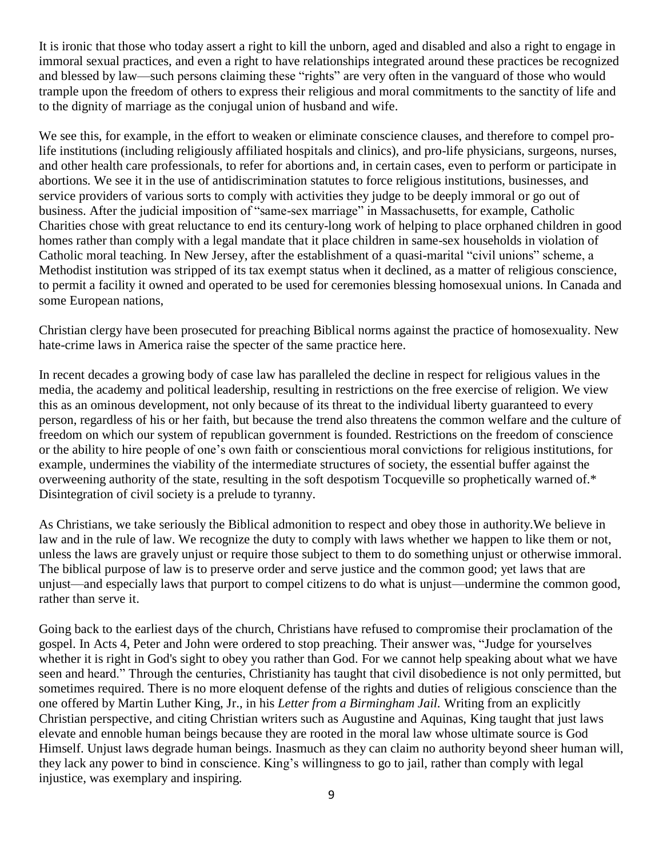It is ironic that those who today assert a right to kill the unborn, aged and disabled and also a right to engage in immoral sexual practices, and even a right to have relationships integrated around these practices be recognized and blessed by law—such persons claiming these "rights" are very often in the vanguard of those who would trample upon the freedom of others to express their religious and moral commitments to the sanctity of life and to the dignity of marriage as the conjugal union of husband and wife.

We see this, for example, in the effort to weaken or eliminate conscience clauses, and therefore to compel prolife institutions (including religiously affiliated hospitals and clinics), and pro-life physicians, surgeons, nurses, and other health care professionals, to refer for abortions and, in certain cases, even to perform or participate in abortions. We see it in the use of antidiscrimination statutes to force religious institutions, businesses, and service providers of various sorts to comply with activities they judge to be deeply immoral or go out of business. After the judicial imposition of "same-sex marriage" in Massachusetts, for example, Catholic Charities chose with great reluctance to end its century-long work of helping to place orphaned children in good homes rather than comply with a legal mandate that it place children in same-sex households in violation of Catholic moral teaching. In New Jersey, after the establishment of a quasi-marital "civil unions" scheme, a Methodist institution was stripped of its tax exempt status when it declined, as a matter of religious conscience, to permit a facility it owned and operated to be used for ceremonies blessing homosexual unions. In Canada and some European nations,

Christian clergy have been prosecuted for preaching Biblical norms against the practice of homosexuality. New hate-crime laws in America raise the specter of the same practice here.

In recent decades a growing body of case law has paralleled the decline in respect for religious values in the media, the academy and political leadership, resulting in restrictions on the free exercise of religion. We view this as an ominous development, not only because of its threat to the individual liberty guaranteed to every person, regardless of his or her faith, but because the trend also threatens the common welfare and the culture of freedom on which our system of republican government is founded. Restrictions on the freedom of conscience or the ability to hire people of one's own faith or conscientious moral convictions for religious institutions, for example, undermines the viability of the intermediate structures of society, the essential buffer against the overweening authority of the state, resulting in the soft despotism Tocqueville so prophetically warned of.\* Disintegration of civil society is a prelude to tyranny.

As Christians, we take seriously the Biblical admonition to respect and obey those in authority.We believe in law and in the rule of law. We recognize the duty to comply with laws whether we happen to like them or not, unless the laws are gravely unjust or require those subject to them to do something unjust or otherwise immoral. The biblical purpose of law is to preserve order and serve justice and the common good; yet laws that are unjust—and especially laws that purport to compel citizens to do what is unjust—undermine the common good, rather than serve it.

Going back to the earliest days of the church, Christians have refused to compromise their proclamation of the gospel. In Acts 4, Peter and John were ordered to stop preaching. Their answer was, "Judge for yourselves whether it is right in God's sight to obey you rather than God. For we cannot help speaking about what we have seen and heard." Through the centuries, Christianity has taught that civil disobedience is not only permitted, but sometimes required. There is no more eloquent defense of the rights and duties of religious conscience than the one offered by Martin Luther King, Jr., in his *Letter from a Birmingham Jail.* Writing from an explicitly Christian perspective, and citing Christian writers such as Augustine and Aquinas, King taught that just laws elevate and ennoble human beings because they are rooted in the moral law whose ultimate source is God Himself. Unjust laws degrade human beings. Inasmuch as they can claim no authority beyond sheer human will, they lack any power to bind in conscience. King's willingness to go to jail, rather than comply with legal injustice, was exemplary and inspiring.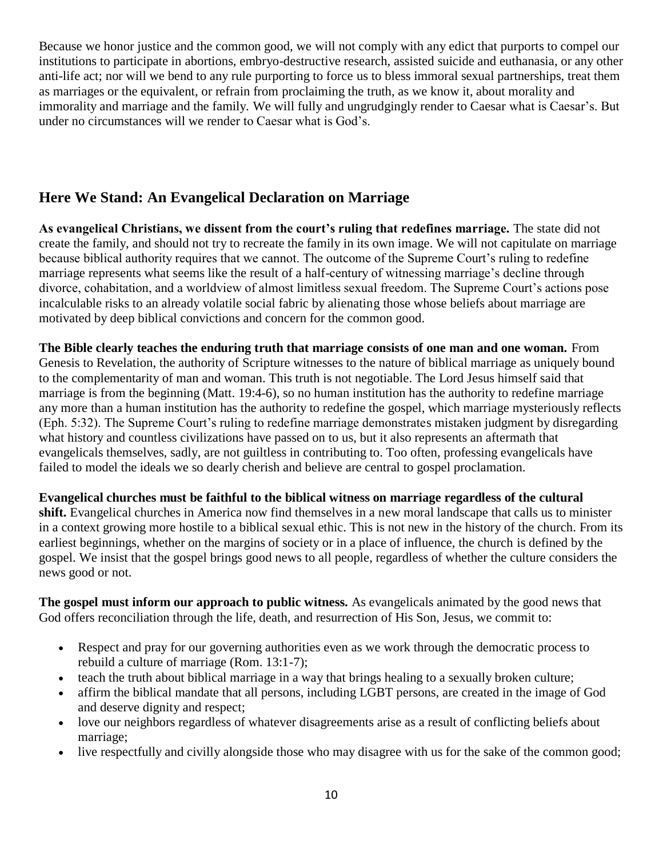Because we honor justice and the common good, we will not comply with any edict that purports to compel our institutions to participate in abortions, embryo-destructive research, assisted suicide and euthanasia, or any other anti-life act; nor will we bend to any rule purporting to force us to bless immoral sexual partnerships, treat them as marriages or the equivalent, or refrain from proclaiming the truth, as we know it, about morality and immorality and marriage and the family. We will fully and ungrudgingly render to Caesar what is Caesar's. But under no circumstances will we render to Caesar what is God's.

# **Here We Stand: An Evangelical Declaration on Marriage**

**As evangelical Christians, we dissent from the court's ruling that redefines marriage.** The state did not create the family, and should not try to recreate the family in its own image. We will not capitulate on marriage because biblical authority requires that we cannot. The outcome of the Supreme Court's ruling to redefine marriage represents what seems like the result of a half-century of witnessing marriage's decline through divorce, cohabitation, and a worldview of almost limitless sexual freedom. The Supreme Court's actions pose incalculable risks to an already volatile social fabric by alienating those whose beliefs about marriage are motivated by deep biblical convictions and concern for the common good.

**The Bible clearly teaches the enduring truth that marriage consists of one man and one woman.** From Genesis to Revelation, the authority of Scripture witnesses to the nature of biblical marriage as uniquely bound to the complementarity of man and woman. This truth is not negotiable. The Lord Jesus himself said that marriage is from the beginning (Matt. 19:4-6), so no human institution has the authority to redefine marriage any more than a human institution has the authority to redefine the gospel, which marriage mysteriously reflects (Eph. 5:32). The Supreme Court's ruling to redefine marriage demonstrates mistaken judgment by disregarding what history and countless civilizations have passed on to us, but it also represents an aftermath that evangelicals themselves, sadly, are not guiltless in contributing to. Too often, professing evangelicals have failed to model the ideals we so dearly cherish and believe are central to gospel proclamation.

**Evangelical churches must be faithful to the biblical witness on marriage regardless of the cultural shift.** Evangelical churches in America now find themselves in a new moral landscape that calls us to minister in a context growing more hostile to a biblical sexual ethic. This is not new in the history of the church. From its earliest beginnings, whether on the margins of society or in a place of influence, the church is defined by the gospel. We insist that the gospel brings good news to all people, regardless of whether the culture considers the news good or not.

**The gospel must inform our approach to public witness.** As evangelicals animated by the good news that God offers reconciliation through the life, death, and resurrection of His Son, Jesus, we commit to:

- Respect and pray for our governing authorities even as we work through the democratic process to rebuild a culture of marriage (Rom. 13:1-7);
- teach the truth about biblical marriage in a way that brings healing to a sexually broken culture;
- affirm the biblical mandate that all persons, including LGBT persons, are created in the image of God and deserve dignity and respect;
- love our neighbors regardless of whatever disagreements arise as a result of conflicting beliefs about marriage;
- live respectfully and civilly alongside those who may disagree with us for the sake of the common good;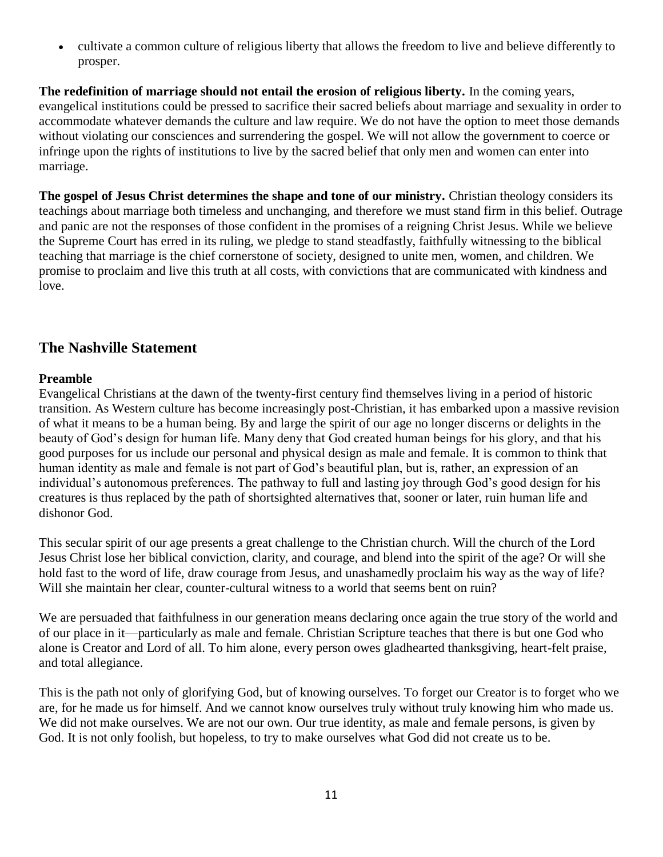cultivate a common culture of religious liberty that allows the freedom to live and believe differently to prosper.

**The redefinition of marriage should not entail the erosion of religious liberty.** In the coming years, evangelical institutions could be pressed to sacrifice their sacred beliefs about marriage and sexuality in order to accommodate whatever demands the culture and law require. We do not have the option to meet those demands without violating our consciences and surrendering the gospel. We will not allow the government to coerce or infringe upon the rights of institutions to live by the sacred belief that only men and women can enter into marriage.

**The gospel of Jesus Christ determines the shape and tone of our ministry.** Christian theology considers its teachings about marriage both timeless and unchanging, and therefore we must stand firm in this belief. Outrage and panic are not the responses of those confident in the promises of a reigning Christ Jesus. While we believe the Supreme Court has erred in its ruling, we pledge to stand steadfastly, faithfully witnessing to the biblical teaching that marriage is the chief cornerstone of society, designed to unite men, women, and children. We promise to proclaim and live this truth at all costs, with convictions that are communicated with kindness and love.

# **The Nashville Statement**

#### **Preamble**

Evangelical Christians at the dawn of the twenty-first century find themselves living in a period of historic transition. As Western culture has become increasingly post-Christian, it has embarked upon a massive revision of what it means to be a human being. By and large the spirit of our age no longer discerns or delights in the beauty of God's design for human life. Many deny that God created human beings for his glory, and that his good purposes for us include our personal and physical design as male and female. It is common to think that human identity as male and female is not part of God's beautiful plan, but is, rather, an expression of an individual's autonomous preferences. The pathway to full and lasting joy through God's good design for his creatures is thus replaced by the path of shortsighted alternatives that, sooner or later, ruin human life and dishonor God.

This secular spirit of our age presents a great challenge to the Christian church. Will the church of the Lord Jesus Christ lose her biblical conviction, clarity, and courage, and blend into the spirit of the age? Or will she hold fast to the word of life, draw courage from Jesus, and unashamedly proclaim his way as the way of life? Will she maintain her clear, counter-cultural witness to a world that seems bent on ruin?

We are persuaded that faithfulness in our generation means declaring once again the true story of the world and of our place in it—particularly as male and female. Christian Scripture teaches that there is but one God who alone is Creator and Lord of all. To him alone, every person owes gladhearted thanksgiving, heart-felt praise, and total allegiance.

This is the path not only of glorifying God, but of knowing ourselves. To forget our Creator is to forget who we are, for he made us for himself. And we cannot know ourselves truly without truly knowing him who made us. We did not make ourselves. We are not our own. Our true identity, as male and female persons, is given by God. It is not only foolish, but hopeless, to try to make ourselves what God did not create us to be.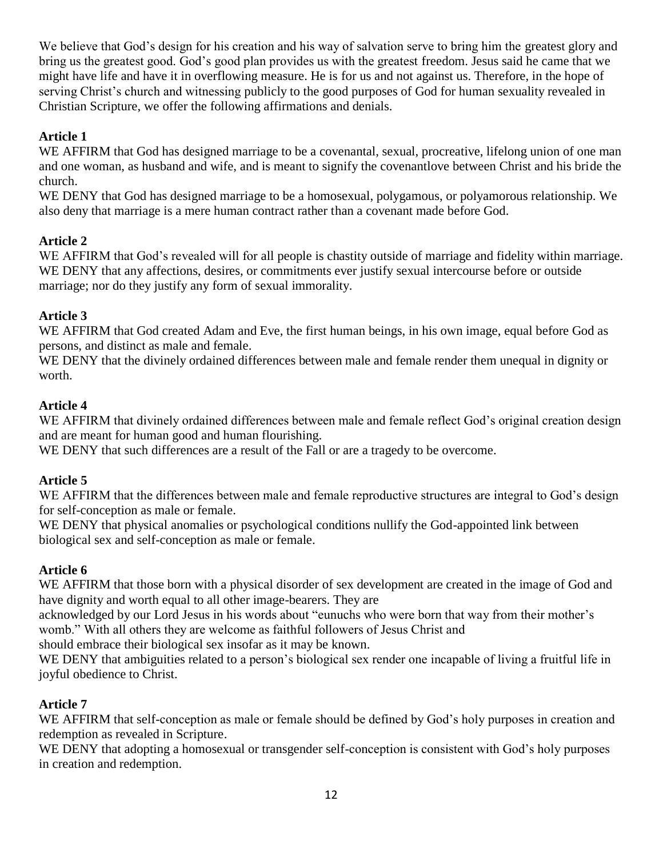We believe that God's design for his creation and his way of salvation serve to bring him the greatest glory and bring us the greatest good. God's good plan provides us with the greatest freedom. Jesus said he came that we might have life and have it in overflowing measure. He is for us and not against us. Therefore, in the hope of serving Christ's church and witnessing publicly to the good purposes of God for human sexuality revealed in Christian Scripture, we offer the following affirmations and denials.

# **Article 1**

WE AFFIRM that God has designed marriage to be a covenantal, sexual, procreative, lifelong union of one man and one woman, as husband and wife, and is meant to signify the covenantlove between Christ and his bride the church.

WE DENY that God has designed marriage to be a homosexual, polygamous, or polyamorous relationship. We also deny that marriage is a mere human contract rather than a covenant made before God.

### **Article 2**

WE AFFIRM that God's revealed will for all people is chastity outside of marriage and fidelity within marriage. WE DENY that any affections, desires, or commitments ever justify sexual intercourse before or outside marriage; nor do they justify any form of sexual immorality.

### **Article 3**

WE AFFIRM that God created Adam and Eve, the first human beings, in his own image, equal before God as persons, and distinct as male and female.

WE DENY that the divinely ordained differences between male and female render them unequal in dignity or worth.

### **Article 4**

WE AFFIRM that divinely ordained differences between male and female reflect God's original creation design and are meant for human good and human flourishing.

WE DENY that such differences are a result of the Fall or are a tragedy to be overcome.

### **Article 5**

WE AFFIRM that the differences between male and female reproductive structures are integral to God's design for self-conception as male or female.

WE DENY that physical anomalies or psychological conditions nullify the God-appointed link between biological sex and self-conception as male or female.

### **Article 6**

WE AFFIRM that those born with a physical disorder of sex development are created in the image of God and have dignity and worth equal to all other image-bearers. They are

acknowledged by our Lord Jesus in his words about "eunuchs who were born that way from their mother's womb." With all others they are welcome as faithful followers of Jesus Christ and

should embrace their biological sex insofar as it may be known.

WE DENY that ambiguities related to a person's biological sex render one incapable of living a fruitful life in joyful obedience to Christ.

### **Article 7**

WE AFFIRM that self-conception as male or female should be defined by God's holy purposes in creation and redemption as revealed in Scripture.

WE DENY that adopting a homosexual or transgender self-conception is consistent with God's holy purposes in creation and redemption.